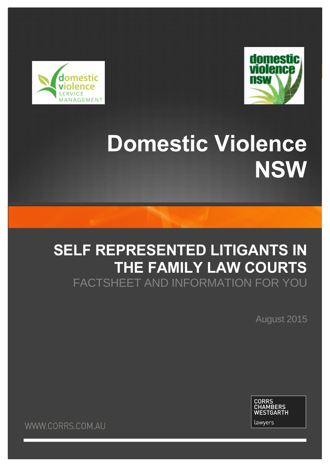



# **Domestic Violence NSW**

## **SELF REPRESENTED LITIGANTS IN THE FAMILY LAW COURTS** FACTSHEET AND INFORMATION FOR YOU

August 2015

**CORRS<br>CHAMBERS<br>WESTGARTH** lawyers

**WWW.CORRS.COM.AU**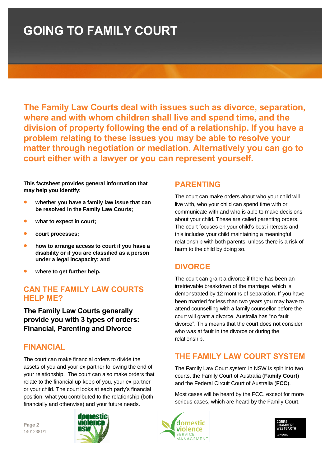## **GOING TO FAMILY COURT**

**The Family Law Courts deal with issues such as divorce, separation, where and with whom children shall live and spend time, and the division of property following the end of a relationship. If you have a problem relating to these issues you may be able to resolve your matter through negotiation or mediation. Alternatively you can go to court either with a lawyer or you can represent yourself.** 

**This factsheet provides general information that may help you identify:** 

- **whether you have a family law issue that can be resolved in the Family Law Courts;**
- **what to expect in court;**
- **court processes;**
- **how to arrange access to court if you have a disability or if you are classified as a person under a legal incapacity; and**
- **where to get further help.**

### **CAN THE FAMILY LAW COURTS HELP ME?**

**The Family Law Courts generally provide you with 3 types of orders: Financial, Parenting and Divorce**

### **FINANCIAL**

The court can make financial orders to divide the assets of you and your ex-partner following the end of your relationship. The court can also make orders that relate to the financial up-keep of you, your ex-partner or your child. The court looks at each party's financial position, what you contributed to the relationship (both financially and otherwise) and your future needs.

**Page 2** 14012381/1



### **PARENTING**

The court can make orders about who your child will live with, who your child can spend time with or communicate with and who is able to make decisions about your child. These are called parenting orders. The court focuses on your child's best interests and this includes your child maintaining a meaningful relationship with both parents, unless there is a risk of harm to the child by doing so.

### **DIVORCE**

The court can grant a divorce if there has been an irretrievable breakdown of the marriage, which is demonstrated by 12 months of separation. If you have been married for less than two years you may have to attend counselling with a family counsellor before the court will grant a divorce. Australia has "no fault divorce". This means that the court does not consider who was at fault in the divorce or during the relationship.

## **THE FAMILY LAW COURT SYSTEM**

The Family Law Court system in NSW is split into two courts, the Family Court of Australia (**Family Court**) and the Federal Circuit Court of Australia (**FCC**).

Most cases will be heard by the FCC, except for more serious cases, which are heard by the Family Court.



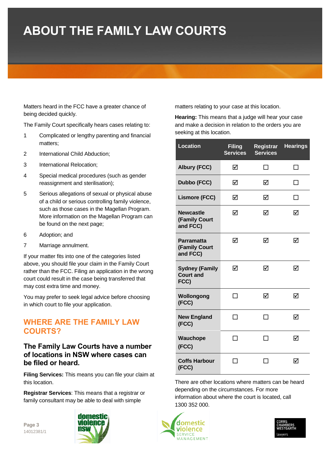## **ABOUT THE FAMILY LAW COURTS**

Matters heard in the FCC have a greater chance of being decided quickly.

The Family Court specifically hears cases relating to:

- 1 Complicated or lengthy parenting and financial matters;
- 2 International Child Abduction;
- 3 International Relocation;
- 4 Special medical procedures (such as gender reassignment and sterilisation);
- 5 Serious allegations of sexual or physical abuse of a child or serious controlling family violence, such as those cases in the Magellan Program. More information on the Magellan Program can be found on the next page;
- 6 Adoption; and
- 7 Marriage annulment.

If your matter fits into one of the categories listed above, you should file your claim in the Family Court rather than the FCC. Filing an application in the wrong court could result in the case being transferred that may cost extra time and money.

You may prefer to seek legal advice before choosing in which court to file your application.

### **WHERE ARE THE FAMILY LAW COURTS?**

### **The Family Law Courts have a number of locations in NSW where cases can be filed or heard.**

**Filing Services:** This means you can file your claim at this location.

**Registrar Services**: This means that a registrar or family consultant may be able to deal with simple

**Page 3** 14012381/1



matters relating to your case at this location.

**Hearing:** This means that a judge will hear your case and make a decision in relation to the orders you are seeking at this location.

| <b>Location</b>                                   | <b>Filing</b><br><b>Services</b> | Registrar<br><b>Services</b> | <b>Hearings</b> |
|---------------------------------------------------|----------------------------------|------------------------------|-----------------|
| <b>Albury (FCC)</b>                               | ☑                                |                              |                 |
| <b>Dubbo (FCC)</b>                                | ☑                                | ☑                            | П               |
| <b>Lismore (FCC)</b>                              | ☑                                | ☑                            | ΙI              |
| <b>Newcastle</b><br>(Family Court<br>and FCC)     | ☑                                | ☑                            | ☑               |
| <b>Parramatta</b><br>(Family Court<br>and FCC)    | ☑                                | ☑                            | ☑               |
| <b>Sydney (Family</b><br><b>Court and</b><br>FCC) | ☑                                | ☑                            | ☑               |
| Wollongong<br>(FCC)                               | - 1                              | ⊠                            | ☑               |
| <b>New England</b><br>(FCC)                       |                                  |                              | ☑               |
| Wauchope<br>(FCC)                                 |                                  |                              | ☑               |
| <b>Coffs Harbour</b><br>(FCC)                     |                                  |                              | ☑               |

There are other locations where matters can be heard depending on the circumstances. For more information about where the court is located, call 1300 352 000.



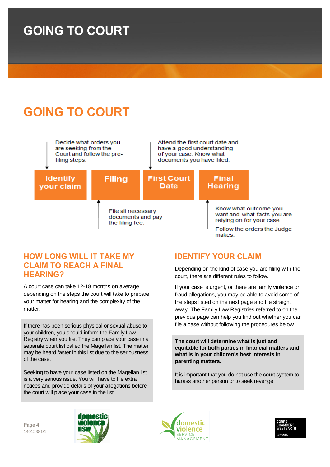## **GOING TO COURT**



### **HOW LONG WILL IT TAKE MY CLAIM TO REACH A FINAL HEARING?**

A court case can take 12-18 months on average, depending on the steps the court will take to prepare your matter for hearing and the complexity of the matter.

If there has been serious physical or sexual abuse to your children, you should inform the Family Law Registry when you file. They can place your case in a separate court list called the Magellan list. The matter may be heard faster in this list due to the seriousness of the case.

Seeking to have your case listed on the Magellan list is a very serious issue. You will have to file extra notices and provide details of your allegations before the court will place your case in the list.

## **IDENTIFY YOUR CLAIM**

Depending on the kind of case you are filing with the court, there are different rules to follow.

If your case is urgent, or there are family violence or fraud allegations, you may be able to avoid some of the steps listed on the next page and file straight away. The Family Law Registries referred to on the previous page can help you find out whether you can file a case without following the procedures below.

**The court will determine what is just and equitable for both parties in financial matters and what is in your children's best interests in parenting matters.** 

It is important that you do not use the court system to harass another person or to seek revenge.

**Page 4** 14012381/1





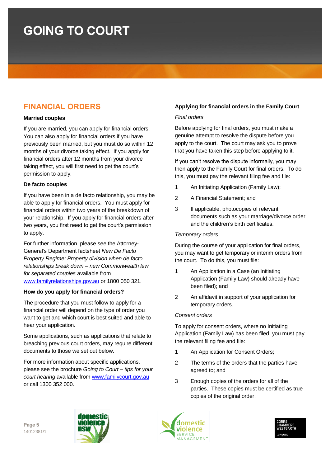## **FINANCIAL ORDERS**

#### **Married couples**

If you are married, you can apply for financial orders. You can also apply for financial orders if you have previously been married, but you must do so within 12 months of your divorce taking effect. If you apply for financial orders after 12 months from your divorce taking effect, you will first need to get the court's permission to apply.

#### **De facto couples**

If you have been in a de facto relationship, you may be able to apply for financial orders. You must apply for financial orders within two years of the breakdown of your relationship. If you apply for financial orders after two years, you first need to get the court's permission to apply.

For further information, please see the Attorney-General's Department factsheet *New De Facto Property Regime: Property division when de facto relationships break down – new Commonwealth law for separated couples* available from [www.familyrelationships.gov.au](http://www.familyrelationships.gov.au/) or 1800 050 321.

#### **How do you apply for financial orders?**

The procedure that you must follow to apply for a financial order will depend on the type of order you want to get and which court is best suited and able to hear your application.

Some applications, such as applications that relate to breaching previous court orders, may require different documents to those we set out below.

For more information about specific applications, please see the brochure *Going to Court – tips for your court hearing* available from [www.familycourt.gov.au](http://www.familycourt.gov.au/) or call 1300 352 000.

#### **Applying for financial orders in the Family Court**

#### *Final orders*

Before applying for final orders, you must make a genuine attempt to resolve the dispute before you apply to the court. The court may ask you to prove that you have taken this step before applying to it.

If you can't resolve the dispute informally, you may then apply to the Family Court for final orders. To do this, you must pay the relevant filing fee and file:

- 1 An Initiating Application (Family Law);
- 2 A Financial Statement; and
- 3 If applicable, photocopies of relevant documents such as your marriage/divorce order and the children's birth certificates.

#### *Temporary orders*

During the course of your application for final orders, you may want to get temporary or interim orders from the court. To do this, you must file:

- 1 An Application in a Case (an Initiating Application (Family Law) should already have been filed); and
- 2 An affidavit in support of your application for temporary orders.

#### *Consent orders*

To apply for consent orders, where no Initiating Application (Family Law) has been filed, you must pay the relevant filing fee and file:

- 1 An Application for Consent Orders;
- 2 The terms of the orders that the parties have agreed to; and
- 3 Enough copies of the orders for all of the parties. These copies must be certified as true copies of the original order.





**Page 5** 14012381/1

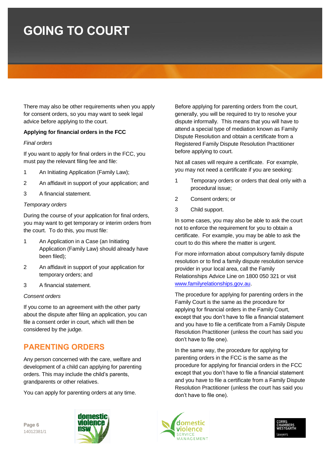There may also be other requirements when you apply for consent orders, so you may want to seek legal advice before applying to the court.

#### **Applying for financial orders in the FCC**

#### *Final orders*

If you want to apply for final orders in the FCC, you must pay the relevant filing fee and file:

- 1 An Initiating Application (Family Law);
- 2 An affidavit in support of your application; and
- 3 A financial statement.

#### *Temporary orders*

During the course of your application for final orders, you may want to get temporary or interim orders from the court. To do this, you must file:

- 1 An Application in a Case (an Initiating Application (Family Law) should already have been filed);
- 2 An affidavit in support of your application for temporary orders; and
- 3 A financial statement.

#### *Consent orders*

If you come to an agreement with the other party about the dispute after filing an application, you can file a consent order in court, which will then be considered by the judge.

### **PARENTING ORDERS**

Any person concerned with the care, welfare and development of a child can applying for parenting orders. This may include the child's parents, grandparents or other relatives.

You can apply for parenting orders at any time.

Before applying for parenting orders from the court, generally, you will be required to try to resolve your dispute informally. This means that you will have to attend a special type of mediation known as Family Dispute Resolution and obtain a certificate from a Registered Family Dispute Resolution Practitioner before applying to court.

Not all cases will require a certificate. For example, you may not need a certificate if you are seeking:

- 1 Temporary orders or orders that deal only with a procedural issue;
- 2 Consent orders; or
- 3 Child support.

In some cases, you may also be able to ask the court not to enforce the requirement for you to obtain a certificate. For example, you may be able to ask the court to do this where the matter is urgent.

For more information about compulsory family dispute resolution or to find a family dispute resolution service provider in your local area, call the Family Relationships Advice Line on 1800 050 321 or visit [www.familyrelationships.gov.au.](http://www.familyrelationships.gov.au/)

The procedure for applying for parenting orders in the Family Court is the same as the procedure for applying for financial orders in the Family Court, except that you don't have to file a financial statement and you have to file a certificate from a Family Dispute Resolution Practitioner (unless the court has said you don't have to file one).

In the same way, the procedure for applying for parenting orders in the FCC is the same as the procedure for applying for financial orders in the FCC except that you don't have to file a financial statement and you have to file a certificate from a Family Dispute Resolution Practitioner (unless the court has said you don't have to file one).





**Page 6** 14012381/1

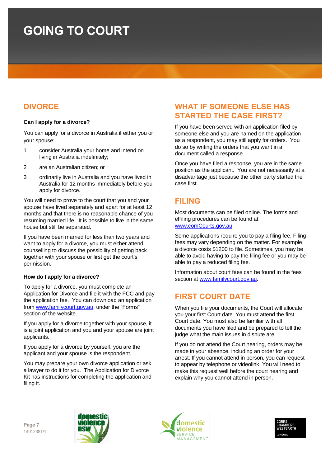## **DIVORCE**

#### **Can I apply for a divorce?**

You can apply for a divorce in Australia if either you or your spouse:

- 1 consider Australia your home and intend on living in Australia indefinitely;
- 2 are an Australian citizen; or
- 3 ordinarily live in Australia and you have lived in Australia for 12 months immediately before you apply for divorce.

You will need to prove to the court that you and your spouse have lived separately and apart for at least 12 months and that there is no reasonable chance of you resuming married life. It is possible to live in the same house but still be separated.

If you have been married for less than two years and want to apply for a divorce, you must either attend counselling to discuss the possibility of getting back together with your spouse or first get the court's permission.

#### **How do I apply for a divorce?**

To apply for a divorce, you must complete an Application for Divorce and file it with the FCC and pay the application fee. You can download an application from [www.familycourt.gov.au,](http://www.familycourt.gov.au/) under the "Forms" section of the website.

If you apply for a divorce together with your spouse, it is a joint application and you and your spouse are joint applicants.

If you apply for a divorce by yourself, you are the applicant and your spouse is the respondent.

You may prepare your own divorce application or ask a lawyer to do it for you. The Application for Divorce Kit has instructions for completing the application and filing it.

### **WHAT IF SOMEONE ELSE HAS STARTED THE CASE FIRST?**

If you have been served with an application filed by someone else and you are named on the application as a respondent, you may still apply for orders. You do so by writing the orders that you want in a document called a response.

Once you have filed a response, you are in the same position as the applicant. You are not necessarily at a disadvantage just because the other party started the case first.

### **FILING**

Most documents can be filed online. The forms and eFiling procedures can be found at [www.comCourts.gov.au.](http://www.comcourts.gov.au/)

Some applications require you to pay a filing fee. Filing fees may vary depending on the matter. For example, a divorce costs \$1200 to file. Sometimes, you may be able to avoid having to pay the filing fee or you may be able to pay a reduced filing fee.

Information about court fees can be found in the fees section at [www.familycourt.gov.au.](http://www.familycourt.gov.au/)

## **FIRST COURT DATE**

When you file your documents, the Court will allocate you your first Court date. You must attend the first Court date. You must also be familiar with all documents you have filed and be prepared to tell the judge what the main issues in dispute are.

If you do not attend the Court hearing, orders may be made in your absence, including an order for your arrest. If you cannot attend in person, you can request to appear by telephone or videolink. You will need to make this request well before the court hearing and explain why you cannot attend in person.

**Page 7** 14012381/1





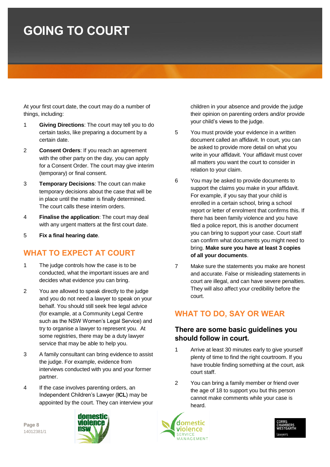At your first court date, the court may do a number of things, including:

- 1 **Giving Directions**: The court may tell you to do certain tasks, like preparing a document by a certain date.
- 2 **Consent Orders**: If you reach an agreement with the other party on the day, you can apply for a Consent Order. The court may give interim (temporary) or final consent.
- 3 **Temporary Decisions**: The court can make temporary decisions about the case that will be in place until the matter is finally determined. The court calls these interim orders.
- 4 **Finalise the application**: The court may deal with any urgent matters at the first court date.
- 5 **Fix a final hearing date**.

## **WHAT TO EXPECT AT COURT**

- 1 The judge controls how the case is to be conducted, what the important issues are and decides what evidence you can bring.
- 2 You are allowed to speak directly to the judge and you do not need a lawyer to speak on your behalf. You should still seek free legal advice (for example, at a Community Legal Centre such as the NSW Women's Legal Service) and try to organise a lawyer to represent you. At some registries, there may be a duty lawyer service that may be able to help you.
- 3 A family consultant can bring evidence to assist the judge. For example, evidence from interviews conducted with you and your former partner.
- 4 If the case involves parenting orders, an Independent Children's Lawyer (**ICL**) may be appointed by the court. They can interview your

children in your absence and provide the judge their opinion on parenting orders and/or provide your child's views to the judge.

- 5 You must provide your evidence in a written document called an affidavit. In court, you can be asked to provide more detail on what you write in your affidavit. Your affidavit must cover all matters you want the court to consider in relation to your claim.
- 6 You may be asked to provide documents to support the claims you make in your affidavit. For example, if you say that your child is enrolled in a certain school, bring a school report or letter of enrolment that confirms this. If there has been family violence and you have filed a police report, this is another document you can bring to support your case. Court staff can confirm what documents you might need to bring. **Make sure you have at least 3 copies of all your documents**.
- 7 Make sure the statements you make are honest and accurate. False or misleading statements in court are illegal, and can have severe penalties. They will also affect your credibility before the court.

## **WHAT TO DO, SAY OR WEAR**

### **There are some basic guidelines you should follow in court.**

- 1 Arrive at least 30 minutes early to give yourself plenty of time to find the right courtroom. If you have trouble finding something at the court, ask court staff.
- 2 You can bring a family member or friend over the age of 18 to support you but this person cannot make comments while your case is heard.





**Page 8** 14012381/1

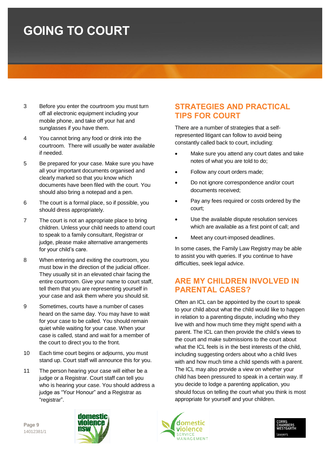- 3 Before you enter the courtroom you must turn off all electronic equipment including your mobile phone, and take off your hat and sunglasses if you have them.
- 4 You cannot bring any food or drink into the courtroom. There will usually be water available if needed.
- 5 Be prepared for your case. Make sure you have all your important documents organised and clearly marked so that you know which documents have been filed with the court. You should also bring a notepad and a pen.
- 6 The court is a formal place, so if possible, you should dress appropriately.
- 7 The court is not an appropriate place to bring children. Unless your child needs to attend court to speak to a family consultant, Registrar or judge, please make alternative arrangements for your child's care.
- 8 When entering and exiting the courtroom, you must bow in the direction of the judicial officer. They usually sit in an elevated chair facing the entire courtroom. Give your name to court staff, tell them that you are representing yourself in your case and ask them where you should sit.
- 9 Sometimes, courts have a number of cases heard on the same day. You may have to wait for your case to be called. You should remain quiet while waiting for your case. When your case is called, stand and wait for a member of the court to direct you to the front.
- 10 Each time court begins or adjourns, you must stand up. Court staff will announce this for you.
- 11 The person hearing your case will either be a judge or a Registrar. Court staff can tell you who is hearing your case. You should address a judge as "Your Honour" and a Registrar as "registrar".

### **STRATEGIES AND PRACTICAL TIPS FOR COURT**

There are a number of strategies that a selfrepresented litigant can follow to avoid being constantly called back to court, including:

- Make sure you attend any court dates and take notes of what you are told to do;
- Follow any court orders made;
- Do not ignore correspondence and/or court documents received;
- Pay any fees required or costs ordered by the court;
- Use the available dispute resolution services which are available as a first point of call; and
- Meet any court-imposed deadlines.

In some cases, the Family Law Registry may be able to assist you with queries. If you continue to have difficulties, seek legal advice.

### **ARE MY CHILDREN INVOLVED IN PARENTAL CASES?**

Often an ICL can be appointed by the court to speak to your child about what the child would like to happen in relation to a parenting dispute, including who they live with and how much time they might spend with a parent. The ICL can then provide the child's views to the court and make submissions to the court about what the ICL feels is in the best interests of the child, including suggesting orders about who a child lives with and how much time a child spends with a parent. The ICL may also provide a view on whether your child has been pressured to speak in a certain way. If you decide to lodge a parenting application, you should focus on telling the court what you think is most appropriate for yourself and your children.





**Page 9** 14012381/1

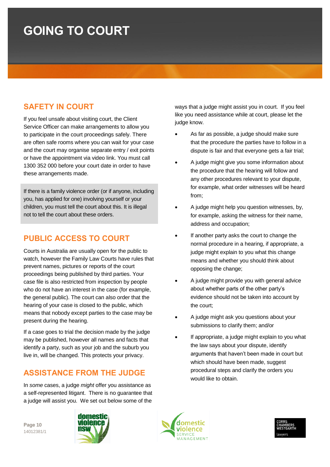## **SAFETY IN COURT**

If you feel unsafe about visiting court, the Client Service Officer can make arrangements to allow you to participate in the court proceedings safely. There are often safe rooms where you can wait for your case and the court may organise separate entry / exit points or have the appointment via video link. You must call 1300 352 000 before your court date in order to have these arrangements made.

If there is a family violence order (or if anyone, including you, has applied for one) involving yourself or your children, you must tell the court about this. It is illegal not to tell the court about these orders.

## **PUBLIC ACCESS TO COURT**

Courts in Australia are usually open for the public to watch, however the Family Law Courts have rules that prevent names, pictures or reports of the court proceedings being published by third parties. Your case file is also restricted from inspection by people who do not have an interest in the case (for example, the general public). The court can also order that the hearing of your case is closed to the public, which means that nobody except parties to the case may be present during the hearing.

If a case goes to trial the decision made by the judge may be published, however all names and facts that identify a party, such as your job and the suburb you live in, will be changed. This protects your privacy.

## **ASSISTANCE FROM THE JUDGE**

In *some* cases, a judge *might* offer you assistance as a self-represented litigant. There is no guarantee that a judge will assist you. We set out below some of the

ways that a judge might assist you in court. If you feel like you need assistance while at court, please let the judge know.

- As far as possible, a judge should make sure that the procedure the parties have to follow in a dispute is fair and that everyone gets a fair trial;
- A judge might give you some information about the procedure that the hearing will follow and any other procedures relevant to your dispute, for example, what order witnesses will be heard from;
- A judge might help you question witnesses, by, for example, asking the witness for their name, address and occupation;
- If another party asks the court to change the normal procedure in a hearing, if appropriate, a judge might explain to you what this change means and whether you should think about opposing the change;
- A judge might provide you with general advice about whether parts of the other party's evidence should not be taken into account by the court;
- A judge might ask you questions about your submissions to clarify them; and/or
- If appropriate, a judge might explain to you what the law says about your dispute, identify arguments that haven't been made in court but which should have been made, suggest procedural steps and clarify the orders you would like to obtain.

**Page 10** 14012381/1





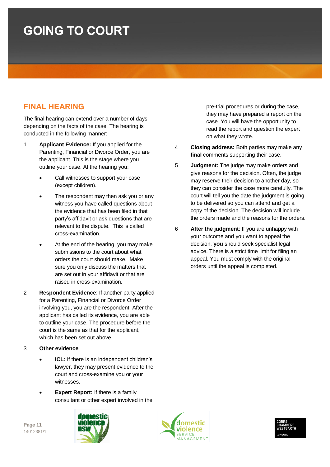## **FINAL HEARING**

The final hearing can extend over a number of days depending on the facts of the case. The hearing is conducted in the following manner:

- 1 **Applicant Evidence:** If you applied for the Parenting, Financial or Divorce Order, you are the applicant. This is the stage where you outline your case. At the hearing you:
	- Call witnesses to support your case (except children).
	- The respondent may then ask you or any witness you have called questions about the evidence that has been filed in that party's affidavit or ask questions that are relevant to the dispute. This is called cross-examination.
	- At the end of the hearing, you may make submissions to the court about what orders the court should make. Make sure you only discuss the matters that are set out in your affidavit or that are raised in cross-examination.
- 2 **Respondent Evidence**: If another party applied for a Parenting, Financial or Divorce Order involving you, you are the respondent. After the applicant has called its evidence, you are able to outline your case. The procedure before the court is the same as that for the applicant, which has been set out above.

#### 3 **Other evidence**

- **ICL:** If there is an independent children's lawyer, they may present evidence to the court and cross-examine you or your witnesses.
- **Expert Report:** If there is a family consultant or other expert involved in the





pre-trial procedures or during the case, they may have prepared a report on the case. You will have the opportunity to read the report and question the expert on what they wrote.

- 4 **Closing address:** Both parties may make any **final** comments supporting their case.
- 5 **Judgment:** The judge may make orders and give reasons for the decision. Often, the judge may reserve their decision to another day, so they can consider the case more carefully. The court will tell you the date the judgment is going to be delivered so you can attend and get a copy of the decision. The decision will include the orders made and the reasons for the orders.
- 6 **After the judgment**: If you are unhappy with your outcome and you want to appeal the decision, **you** should seek specialist legal advice. There is a strict time limit for filing an appeal. You must comply with the original orders until the appeal is completed.



**Page 11** 14012381/1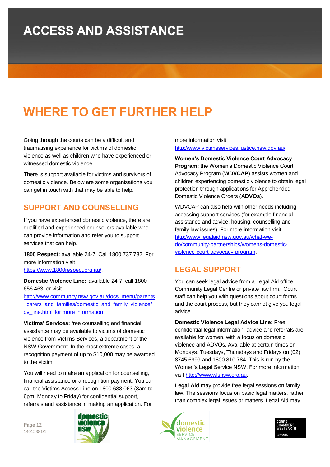## **ACCESS AND ASSISTANCE**

## **WHERE TO GET FURTHER HELP**

Going through the courts can be a difficult and traumatising experience for victims of domestic violence as well as children who have experienced or witnessed domestic violence.

There is support available for victims and survivors of domestic violence. Below are some organisations you can get in touch with that may be able to help.

### **SUPPORT AND COUNSELLING**

If you have experienced domestic violence, there are qualified and experienced counsellors available who can provide information and refer you to support services that can help.

**1800 Respect:** available 24-7, Call 1800 737 732. For more information visit

[https://www.1800respect.org.au/.](https://www.1800respect.org.au/)

**Domestic Violence Line:** available 24-7, call 1800 656 463, or visit

[http://www.community.nsw.gov.au/docs\\_menu/parents](http://www.community.nsw.gov.au/docs_menu/parents_carers_and_families/domestic_and_family_violence/dv_line.html%20for%20more%20information) [\\_carers\\_and\\_families/domestic\\_and\\_family\\_violence/](http://www.community.nsw.gov.au/docs_menu/parents_carers_and_families/domestic_and_family_violence/dv_line.html%20for%20more%20information) dv\_line.html [for more information.](http://www.community.nsw.gov.au/docs_menu/parents_carers_and_families/domestic_and_family_violence/dv_line.html%20for%20more%20information)

**Victims' Services:** free counselling and financial assistance may be available to victims of domestic violence from Victims Services, a department of the NSW Government. In the most extreme cases, a recognition payment of up to \$10,000 may be awarded to the victim.

You will need to make an application for counselling, financial assistance or a recognition payment. You can call the Victims Access Line on 1800 633 063 (8am to 6pm, Monday to Friday) for confidential support, referrals and assistance in making an application. For

**Page 12** 14012381/1



more information visit [http://www.victimsservices.justice.nsw.gov.au/.](http://www.victimsservices.justice.nsw.gov.au/)

**Women's Domestic Violence Court Advocacy Program:** the Women's Domestic Violence Court Advocacy Program (**WDVCAP**) assists women and children experiencing domestic violence to obtain legal protection through applications for Apprehended Domestic Violence Orders (**ADVOs**).

WDVCAP can also help with other needs including accessing support services (for example financial assistance and advice, housing, counselling and family law issues). For more information visit [http://www.legalaid.nsw.gov.au/what-we](http://www.legalaid.nsw.gov.au/what-we-do/community-partnerships/womens-domestic-violence-court-advocacy-program)[do/community-partnerships/womens-domestic](http://www.legalaid.nsw.gov.au/what-we-do/community-partnerships/womens-domestic-violence-court-advocacy-program)[violence-court-advocacy-program.](http://www.legalaid.nsw.gov.au/what-we-do/community-partnerships/womens-domestic-violence-court-advocacy-program)

## **LEGAL SUPPORT**

You can seek legal advice from a Legal Aid office, Community Legal Centre or private law firm. Court staff can help you with questions about court forms and the court process, but they cannot give you legal advice.

**Domestic Violence Legal Advice Line:** Free confidential legal information, advice and referrals are available for women, with a focus on domestic violence and ADVOs. Available at certain times on Mondays, Tuesdays, Thursdays and Fridays on (02) 8745 6999 and 1800 810 784. This is run by the Women's Legal Service NSW. For more information visit [http://www.wlsnsw.org.au.](http://www.wlsnsw.org.au/)

**Legal Aid** may provide free legal sessions on family law. The sessions focus on basic legal matters, rather than complex legal issues or matters. Legal Aid may



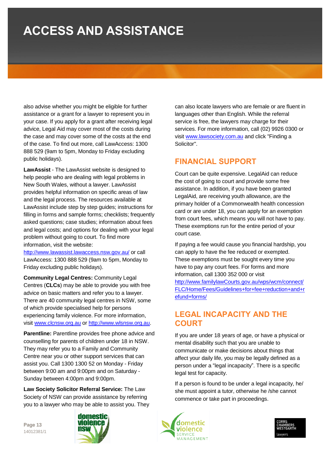## **ACCESS AND ASSISTANCE**

also advise whether you might be eligible for further assistance or a grant for a lawyer to represent you in your case. If you apply for a grant after receiving legal advice, Legal Aid may cover most of the costs during the case and may cover some of the costs at the end of the case. To find out more, call LawAccess: 1300 888 529 (9am to 5pm, Monday to Friday excluding public holidays).

**LawAssist** - The LawAssist website is designed to help people who are dealing with legal problems in New South Wales, without a lawyer. LawAssist provides helpful information on specific areas of law and the legal process. The resources available at LawAssist include step by step guides; instructions for filling in forms and sample forms; checklists; frequently asked questions; case studies; information about fees and legal costs; and options for dealing with your legal problem without going to court. To find more information, visit the website:

<http://www.lawassist.lawaccess.nsw.gov.au/> or call LawAccess: 1300 888 529 (9am to 5pm, Monday to Friday excluding public holidays).

**Community Legal Centres:** Community Legal Centres (**CLCs**) may be able to provide you with free advice on basic matters and refer you to a lawyer. There are 40 community legal centres in NSW, some of which provide specialised help for persons experiencing family violence. For more information, visit [www.clcnsw.org.au](http://www.clcnsw.org.au/) or [http://www.wlsnsw.org.au.](http://www.wlsnsw.org.au/)

**Parentline:** Parentline provides free phone advice and counselling for parents of children under 18 in NSW. They may refer you to a Family and Community Centre near you or other support services that can assist you. Call 1300 1300 52 on Monday - Friday between 9:00 am and 9:00pm and on Saturday - Sunday between 4:00pm and 9:00pm.

**Law Society Solicitor Referral Service:** The Law Society of NSW can provide assistance by referring you to a lawyer who may be able to assist you. They

**Page 13** 14012381/1



can also locate lawyers who are female or are fluent in languages other than English. While the referral service is free, the lawyers may charge for their services. For more information, call (02) 9926 0300 or visit [www.lawsociety.com.au](http://www.lawsociety.com.au/) and click "Finding a Solicitor".

### **FINANCIAL SUPPORT**

Court can be quite expensive. LegalAid can reduce the cost of going to court and provide some free assistance. In addition, if you have been granted LegalAid, are receiving youth allowance, are the primary holder of a Commonwealth health concession card or are under 18, you can apply for an exemption from court fees, which means you will not have to pay. These exemptions run for the entire period of your court case.

If paying a fee would cause you financial hardship, you can apply to have the fee reduced or exempted. These exemptions must be sought every time you have to pay any court fees. For forms and more information, call 1300 352 000 or visit [http://www.familylawCourts.gov.au/wps/wcm/connect/](http://www.familylawcourts.gov.au/wps/wcm/connect/FLC/Home/Fees/Guidelines+for+fee+reduction+and+refund+forms/) [FLC/Home/Fees/Guidelines+for+fee+reduction+and+r](http://www.familylawcourts.gov.au/wps/wcm/connect/FLC/Home/Fees/Guidelines+for+fee+reduction+and+refund+forms/) [efund+forms/](http://www.familylawcourts.gov.au/wps/wcm/connect/FLC/Home/Fees/Guidelines+for+fee+reduction+and+refund+forms/)

### **LEGAL INCAPACITY AND THE COURT**

If you are under 18 years of age, or have a physical or mental disability such that you are unable to communicate or make decisions about things that affect your daily life, you may be legally defined as a person under a "legal incapacity". There is a specific legal test for capacity.

If a person is found to be under a legal incapacity, he/ she must appoint a tutor, otherwise he /she cannot commence or take part in proceedings.